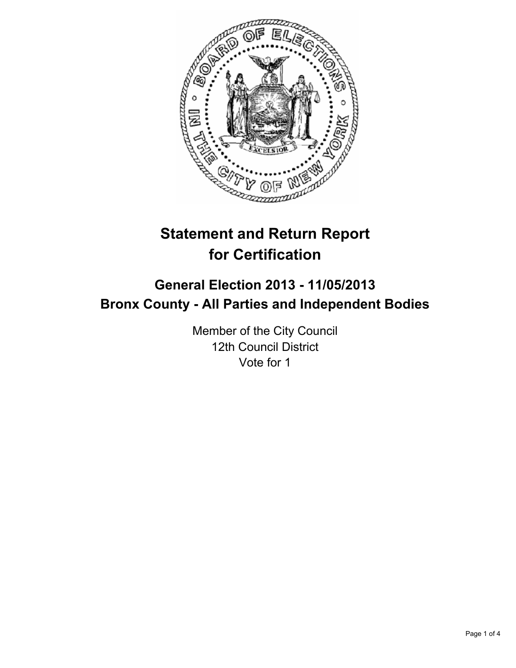

# **Statement and Return Report for Certification**

## **General Election 2013 - 11/05/2013 Bronx County - All Parties and Independent Bodies**

Member of the City Council 12th Council District Vote for 1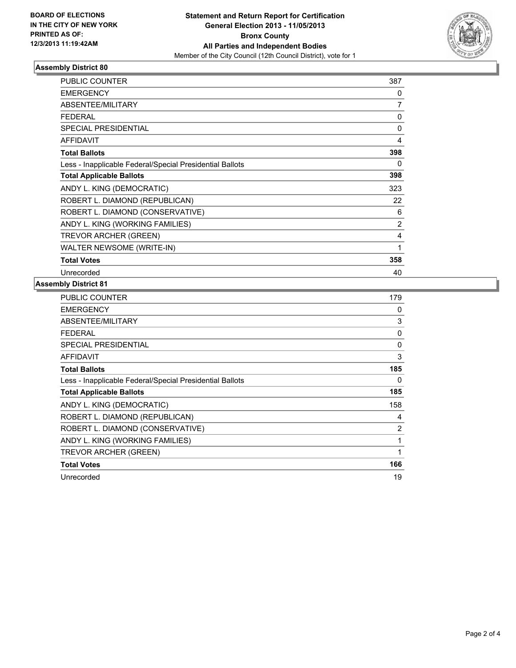

#### **Assembly District 80**

| <b>PUBLIC COUNTER</b>                                    | 387 |
|----------------------------------------------------------|-----|
| <b>EMERGENCY</b>                                         | 0   |
| <b>ABSENTEE/MILITARY</b>                                 | 7   |
| <b>FEDERAL</b>                                           | 0   |
| <b>SPECIAL PRESIDENTIAL</b>                              | 0   |
| <b>AFFIDAVIT</b>                                         | 4   |
| <b>Total Ballots</b>                                     | 398 |
| Less - Inapplicable Federal/Special Presidential Ballots | 0   |
| <b>Total Applicable Ballots</b>                          | 398 |
| ANDY L. KING (DEMOCRATIC)                                | 323 |
| ROBERT L. DIAMOND (REPUBLICAN)                           | 22  |
| ROBERT L. DIAMOND (CONSERVATIVE)                         | 6   |
| ANDY L. KING (WORKING FAMILIES)                          | 2   |
| <b>TREVOR ARCHER (GREEN)</b>                             | 4   |
| WALTER NEWSOME (WRITE-IN)                                | 1   |
| <b>Total Votes</b>                                       | 358 |
| Unrecorded                                               | 40  |

#### **Assembly District 81**

| PUBLIC COUNTER                                           | 179            |
|----------------------------------------------------------|----------------|
| <b>EMERGENCY</b>                                         | 0              |
| ABSENTEE/MILITARY                                        | 3              |
| <b>FEDERAL</b>                                           | 0              |
| <b>SPECIAL PRESIDENTIAL</b>                              | $\mathbf{0}$   |
| <b>AFFIDAVIT</b>                                         | 3              |
| <b>Total Ballots</b>                                     | 185            |
| Less - Inapplicable Federal/Special Presidential Ballots | 0              |
| <b>Total Applicable Ballots</b>                          | 185            |
| ANDY L. KING (DEMOCRATIC)                                | 158            |
| ROBERT L. DIAMOND (REPUBLICAN)                           | 4              |
| ROBERT L. DIAMOND (CONSERVATIVE)                         | $\overline{2}$ |
| ANDY L. KING (WORKING FAMILIES)                          | 1              |
| <b>TREVOR ARCHER (GREEN)</b>                             | 1              |
| <b>Total Votes</b>                                       | 166            |
| Unrecorded                                               | 19             |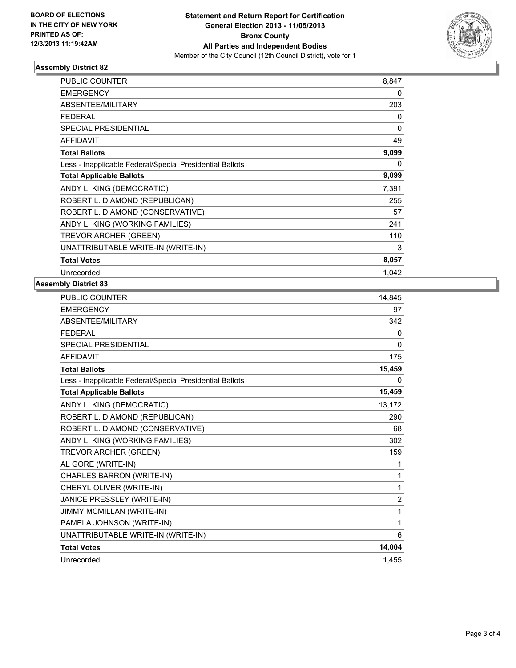

#### **Assembly District 82**

| <b>PUBLIC COUNTER</b>                                    | 8,847 |
|----------------------------------------------------------|-------|
| <b>EMERGENCY</b>                                         | 0     |
| <b>ABSENTEE/MILITARY</b>                                 | 203   |
| FEDERAL                                                  | 0     |
| <b>SPECIAL PRESIDENTIAL</b>                              | 0     |
| <b>AFFIDAVIT</b>                                         | 49    |
| <b>Total Ballots</b>                                     | 9,099 |
| Less - Inapplicable Federal/Special Presidential Ballots | 0     |
| <b>Total Applicable Ballots</b>                          | 9,099 |
| ANDY L. KING (DEMOCRATIC)                                | 7,391 |
| ROBERT L. DIAMOND (REPUBLICAN)                           | 255   |
| ROBERT L. DIAMOND (CONSERVATIVE)                         | 57    |
| ANDY L. KING (WORKING FAMILIES)                          | 241   |
| <b>TREVOR ARCHER (GREEN)</b>                             | 110   |
| UNATTRIBUTABLE WRITE-IN (WRITE-IN)                       | 3     |
| <b>Total Votes</b>                                       | 8,057 |
| Unrecorded                                               | 1,042 |

### **Assembly District 83**

| PUBLIC COUNTER                                           | 14,845 |
|----------------------------------------------------------|--------|
| <b>EMERGENCY</b>                                         | 97     |
| <b>ABSENTEE/MILITARY</b>                                 | 342    |
| <b>FEDERAL</b>                                           | 0      |
| <b>SPECIAL PRESIDENTIAL</b>                              | 0      |
| <b>AFFIDAVIT</b>                                         | 175    |
| <b>Total Ballots</b>                                     | 15,459 |
| Less - Inapplicable Federal/Special Presidential Ballots | 0      |
| <b>Total Applicable Ballots</b>                          | 15,459 |
| ANDY L. KING (DEMOCRATIC)                                | 13,172 |
| ROBERT L. DIAMOND (REPUBLICAN)                           | 290    |
| ROBERT L. DIAMOND (CONSERVATIVE)                         | 68     |
| ANDY L. KING (WORKING FAMILIES)                          | 302    |
| TREVOR ARCHER (GREEN)                                    | 159    |
| AL GORE (WRITE-IN)                                       | 1      |
| CHARLES BARRON (WRITE-IN)                                | 1      |
| CHERYL OLIVER (WRITE-IN)                                 | 1      |
| JANICE PRESSLEY (WRITE-IN)                               | 2      |
| JIMMY MCMILLAN (WRITE-IN)                                | 1      |
| PAMELA JOHNSON (WRITE-IN)                                | 1      |
| UNATTRIBUTABLE WRITE-IN (WRITE-IN)                       | 6      |
| <b>Total Votes</b>                                       | 14,004 |
| Unrecorded                                               | 1,455  |